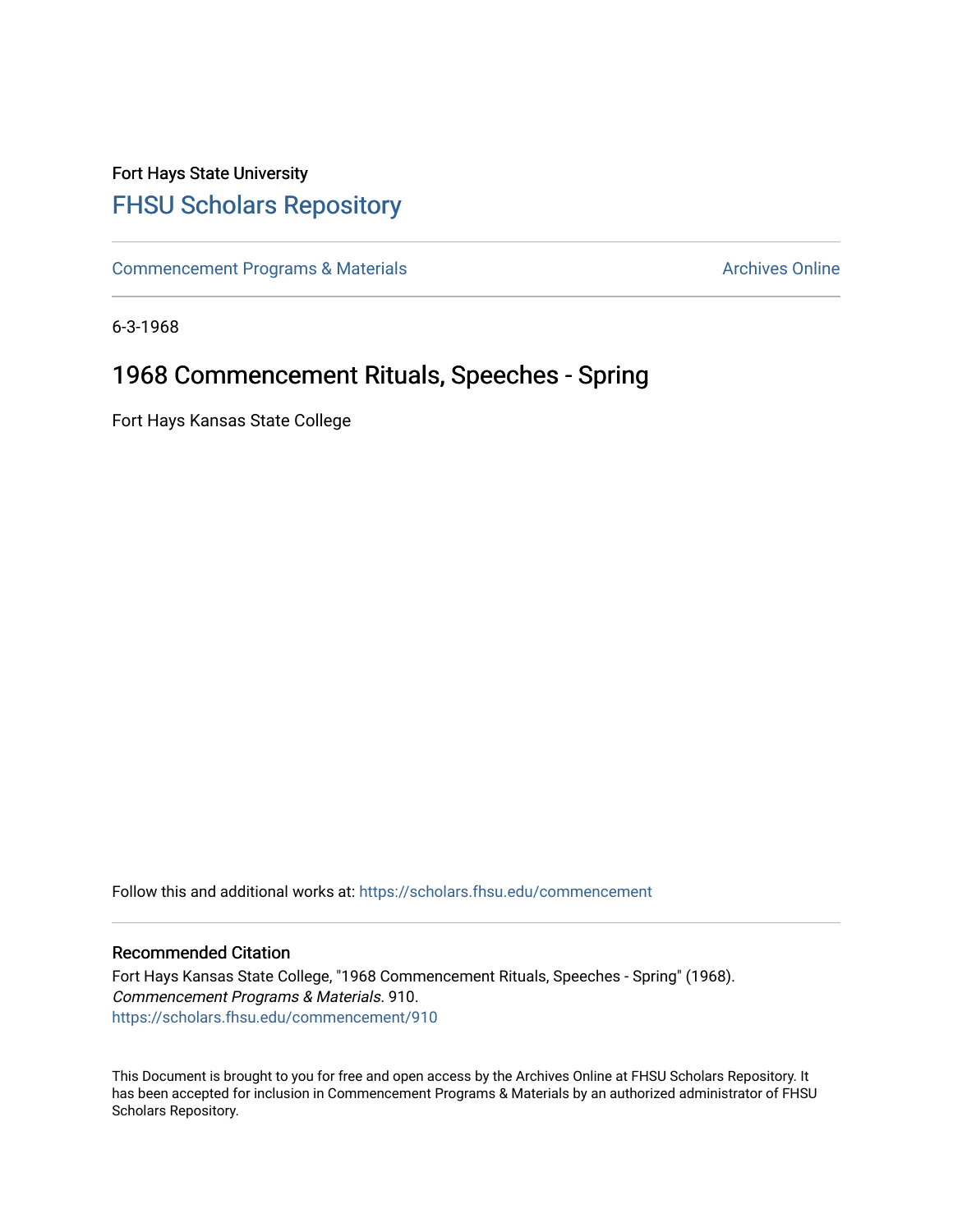## Fort Hays State University [FHSU Scholars Repository](https://scholars.fhsu.edu/)

[Commencement Programs & Materials](https://scholars.fhsu.edu/commencement) **Archives Online** Archives Online

6-3-1968

# 1968 Commencement Rituals, Speeches - Spring

Fort Hays Kansas State College

Follow this and additional works at: [https://scholars.fhsu.edu/commencement](https://scholars.fhsu.edu/commencement?utm_source=scholars.fhsu.edu%2Fcommencement%2F910&utm_medium=PDF&utm_campaign=PDFCoverPages)

## Recommended Citation

Fort Hays Kansas State College, "1968 Commencement Rituals, Speeches - Spring" (1968). Commencement Programs & Materials. 910. [https://scholars.fhsu.edu/commencement/910](https://scholars.fhsu.edu/commencement/910?utm_source=scholars.fhsu.edu%2Fcommencement%2F910&utm_medium=PDF&utm_campaign=PDFCoverPages)

This Document is brought to you for free and open access by the Archives Online at FHSU Scholars Repository. It has been accepted for inclusion in Commencement Programs & Materials by an authorized administrator of FHSU Scholars Repository.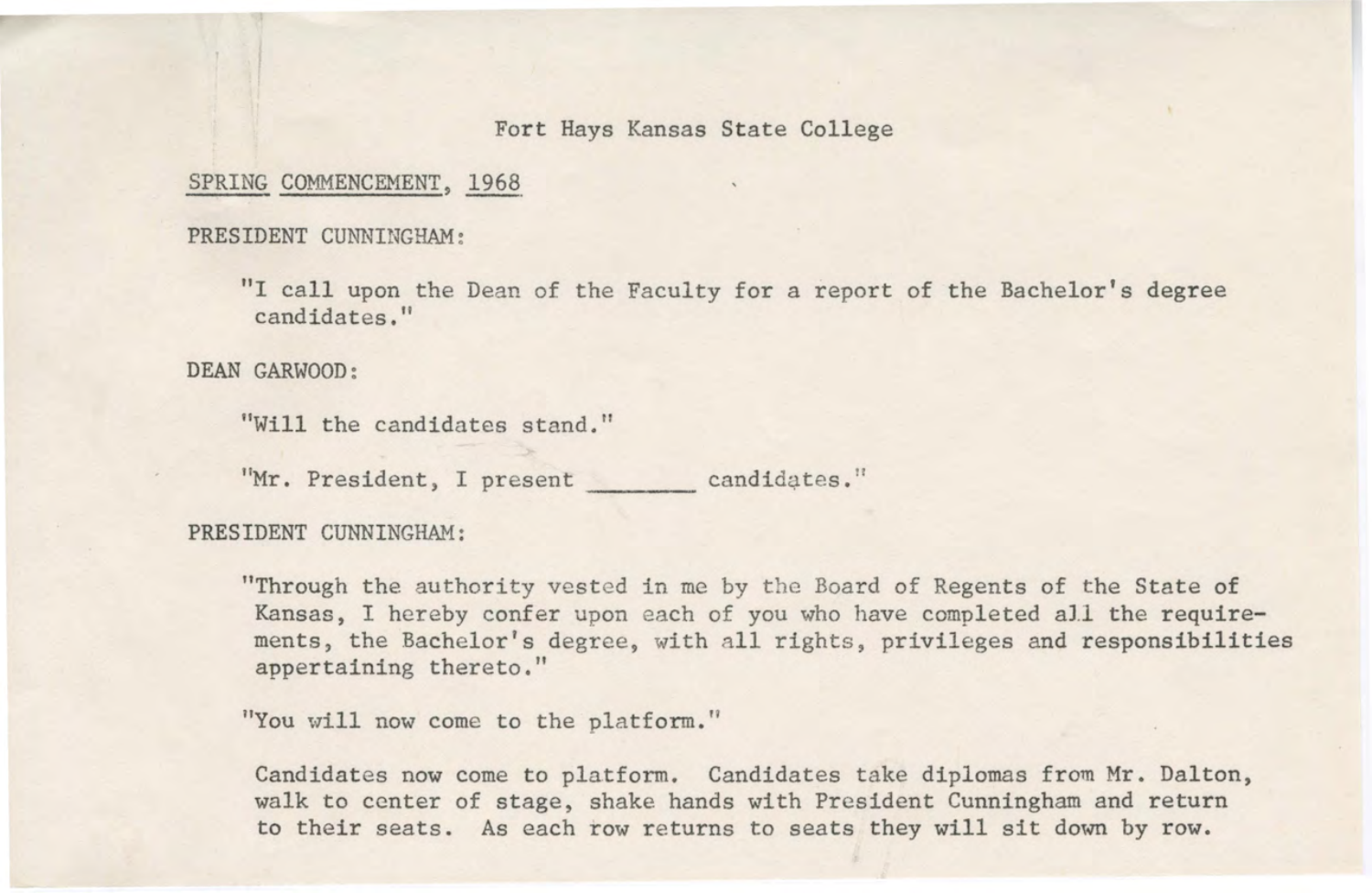## Fort Hays Kansas State College

## SPRING COMMENCEMENT, 1968

#### PRESIDENT CUNNINGHAM:

"I call upon the Dean of the Faculty for a report of the Bachelor's degree candidates."

DEAN GARWOOD:

"Will the candidates stand."

"Mr. President, I present candidates."

### PRESIDENT CUNNINGHAM:

"Through the authority vested in me by the Board of Regents of the State of Kansas, I hereby confer upon each of you who have completed all the requirements, the Bachelor's degree, with all rights, privileges and responsibilities appertaining thereto,"

"You will now come to the platform."

Candidates now come to platform. Candidates take diplomas from Mr. Dalton, walk to center of stage, shake hands with President Cunningham and return to their seats. As each row returns to seats they will sit down by row.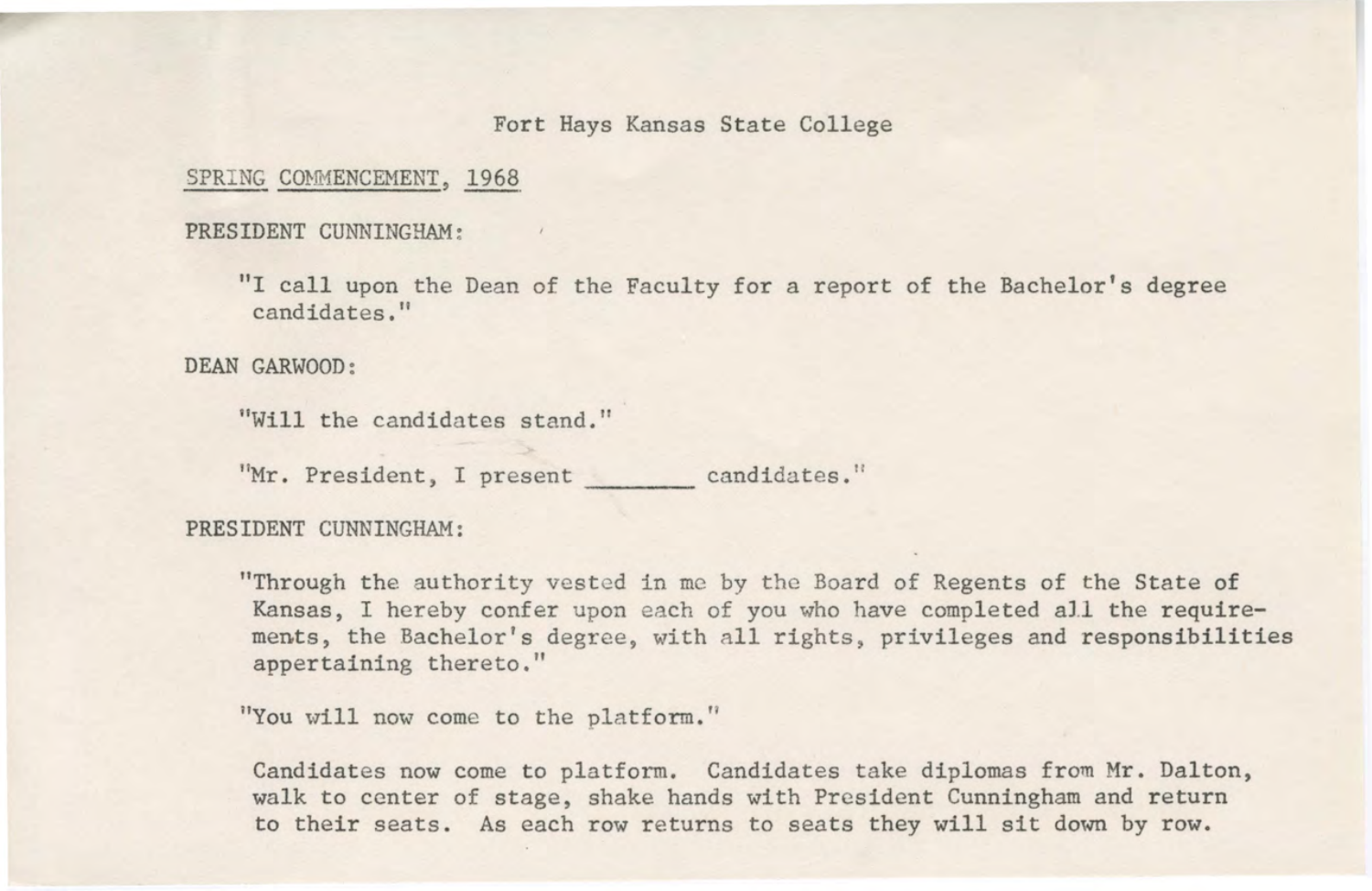#### Fort Hays Kansas State College

#### SPRING COMMENCEMENT, 1968

#### PRESIDENT CUNNINGHAM :

"I call upon the Dean of the Faculty for a report of the Bachelor's degree candidates,"

DEAN GARWOOD:

"Will the candidates stand."

"Mr. President, I present candidates."

## PRESIDENT CUNNINGHAM:

"Through the authority vested in me by the Board of Regents of the State of Kansas, I hereby confer upon each of you who have completed all the requirements, the Bachelor's degree, with all rights, privileges and responsibilities appertaining thereto."

"You will now come to the platform."

Candidates now come to platform. Candidates take diplomas from Mr. Dalton, walk to center of stage, shake hands with President Cunningham and return to their seats. As each row returns to seats they will sit down by row.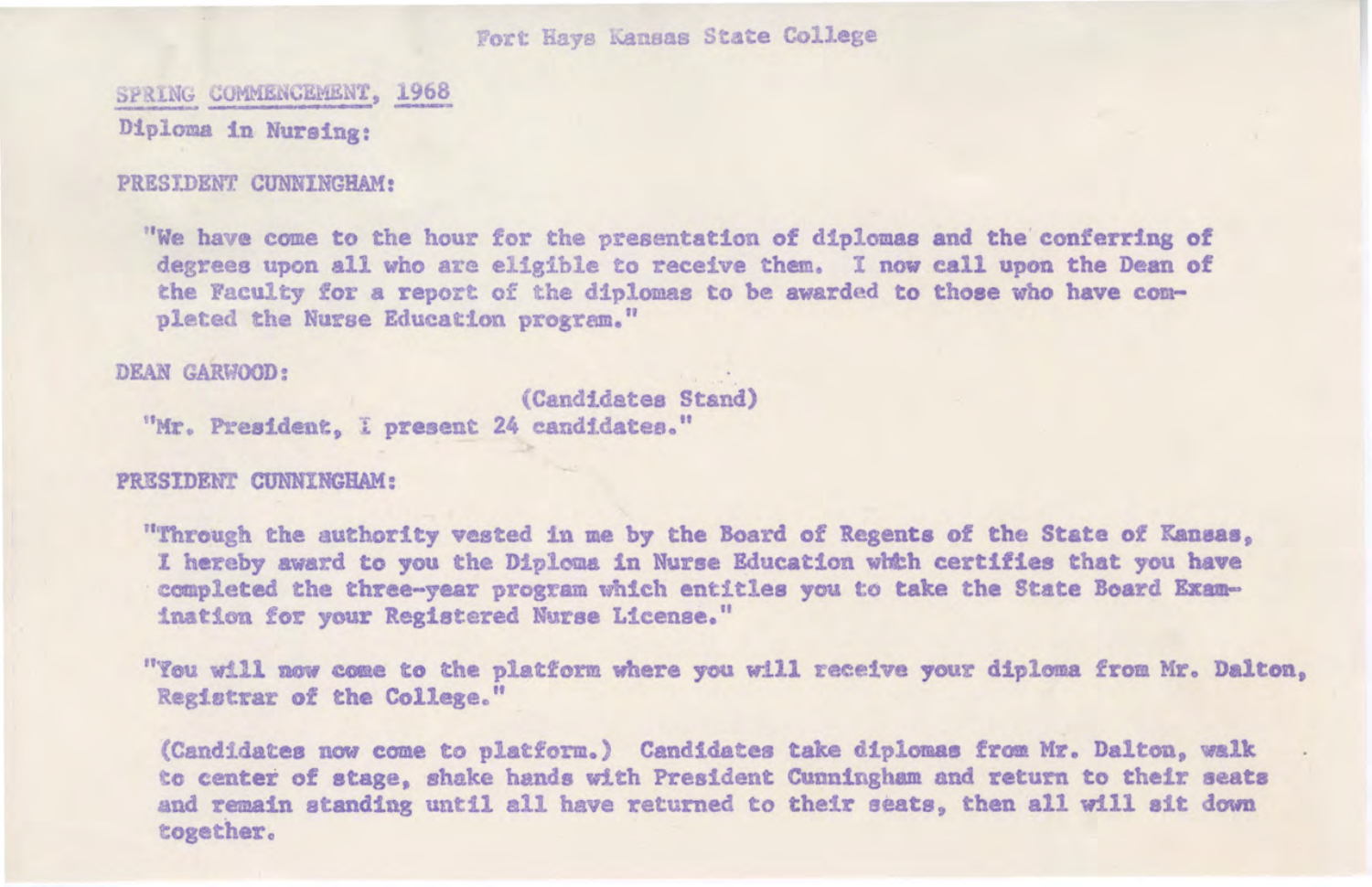Fort Hays Kanaas State College

SPRING COMMENCEMENT, 1968 Diploma in Nursing:

#### PRESIDENT CUNNINGHAM:

"We have come to the hour for the presentation of diplomas and the conferring **of**  degrees upon all who are eligible to receive them. I now call upon the Dean of the Faculty for a report of the diplomas to be awarded to those who **have** completed the Nurse Education program."

DEAN GARWOOD:

(Candidates Stand) "Mr. President, I present 24 candidates."

PRESIDENT CUNNINGHAM:

"Through the authority vested in me by the Board of Regents of the State of **Kaneaa,**  I hereby award to you the Diploma in Nurse Education whth certifies that you have ccmpleted the three-year program which entitles you to take the State Board Examination for your Registered Nurse License."

"You will now come to the platform where you will receive your diploma from Mr. Dalton, Registrar of the College."

(Candidates now come to platform.) Candidates take diplomas from Mr. Dalton, walk tc center of stage, shake hands with President Cunningham and return to their seats and remain standing until all have returned to their seats, then all will sit down together.